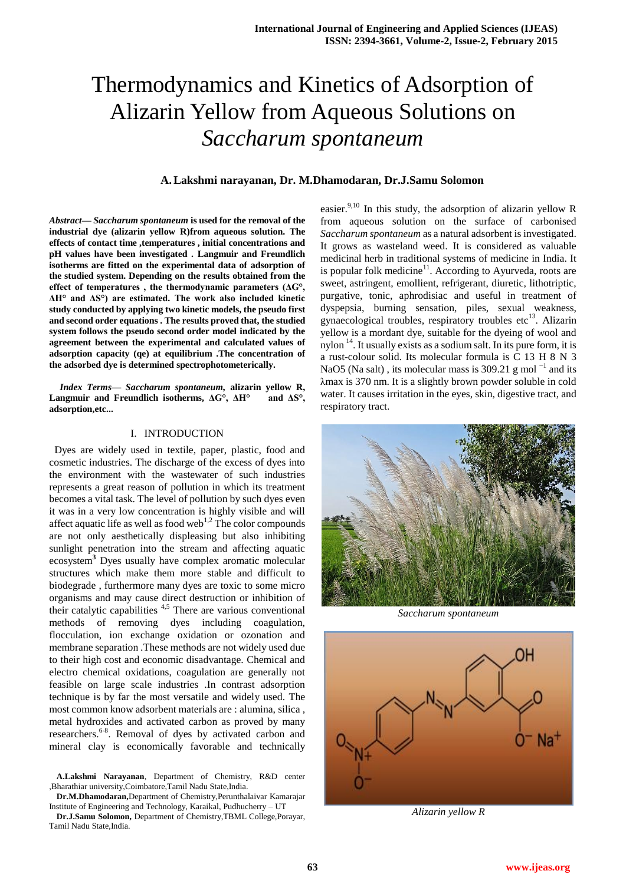# Thermodynamics and Kinetics of Adsorption of Alizarin Yellow from Aqueous Solutions on *Saccharum spontaneum*

# **A.Lakshmi narayanan, Dr. M.Dhamodaran, Dr.J.Samu Solomon**

*Abstract***—** *Saccharum spontaneum* **is used for the removal of the industrial dye (alizarin yellow R)from aqueous solution. The effects of contact time ,temperatures , initial concentrations and pH values have been investigated . Langmuir and Freundlich isotherms are fitted on the experimental data of adsorption of the studied system. Depending on the results obtained from the effect of temperatures , the thermodynamic parameters (ΔG°, ΔH° and ΔS°) are estimated. The work also included kinetic study conducted by applying two kinetic models, the pseudo first and second order equations . The results proved that, the studied system follows the pseudo second order model indicated by the agreement between the experimental and calculated values of adsorption capacity (qe) at equilibrium .The concentration of the adsorbed dye is determined spectrophotometerically.**

*Index Terms***—** *Saccharum spontaneum,* **alizarin yellow R, Langmuir and Freundlich isotherms, ΔG°, ΔH° and ΔS°, adsorption,etc...**

## I. INTRODUCTION

 Dyes are widely used in textile, paper, plastic, food and cosmetic industries. The discharge of the excess of dyes into the environment with the wastewater of such industries represents a great reason of pollution in which its treatment becomes a vital task. The level of pollution by such dyes even it was in a very low concentration is highly visible and will affect aquatic life as well as food web<sup>1,2</sup> The color compounds are not only aesthetically displeasing but also inhibiting sunlight penetration into the stream and affecting aquatic ecosystem**<sup>3</sup>** Dyes usually have complex aromatic molecular structures which make them more stable and difficult to biodegrade , furthermore many dyes are toxic to some micro organisms and may cause direct destruction or inhibition of their catalytic capabilities  $4.5$  There are various conventional methods of removing dyes including coagulation, flocculation, ion exchange oxidation or ozonation and membrane separation .These methods are not widely used due to their high cost and economic disadvantage. Chemical and electro chemical oxidations, coagulation are generally not feasible on large scale industries .In contrast adsorption technique is by far the most versatile and widely used. The most common know adsorbent materials are : alumina, silica , metal hydroxides and activated carbon as proved by many researchers.<sup>6-8</sup>. Removal of dyes by activated carbon and mineral clay is economically favorable and technically

easier.<sup>9,10</sup> In this study, the adsorption of alizarin yellow R from aqueous solution on the surface of carbonised *Saccharum spontaneum* as a natural adsorbent is investigated. It grows as wasteland weed. It is considered as valuable medicinal herb in traditional systems of medicine in India. It is popular folk medicine<sup>11</sup>. According to Ayurveda, roots are sweet, astringent, emollient, refrigerant, diuretic, lithotriptic, purgative, tonic, aphrodisiac and useful in treatment of dyspepsia, burning sensation, piles, sexual weakness, gynaecological troubles, respiratory troubles etc $^{13}$ . Alizarin yellow is a mordant dye, suitable for the dyeing of wool and nylon  $<sup>14</sup>$ . It usually exists as a sodium salt. In its pure form, it is</sup> a rust-colour solid. Its molecular formula is C 13 H 8 N 3 NaO5 (Na salt), its molecular mass is 309.21 g mol $^{-1}$  and its λmax is 370 nm. It is a slightly brown powder soluble in cold water. It causes irritation in the eyes, skin, digestive tract, and respiratory tract.



*Saccharum spontaneum*



*Alizarin yellow R*

**A.Lakshmi Narayanan**, Department of Chemistry, R&D center ,Bharathiar university,Coimbatore,Tamil Nadu State,India.

**Dr.M.Dhamodaran,**Department of Chemistry,Perunthalaivar Kamarajar Institute of Engineering and Technology, Karaikal, Pudhucherry – UT

**Dr.J.Samu Solomon,** Department of Chemistry,TBML College,Porayar, Tamil Nadu State,India.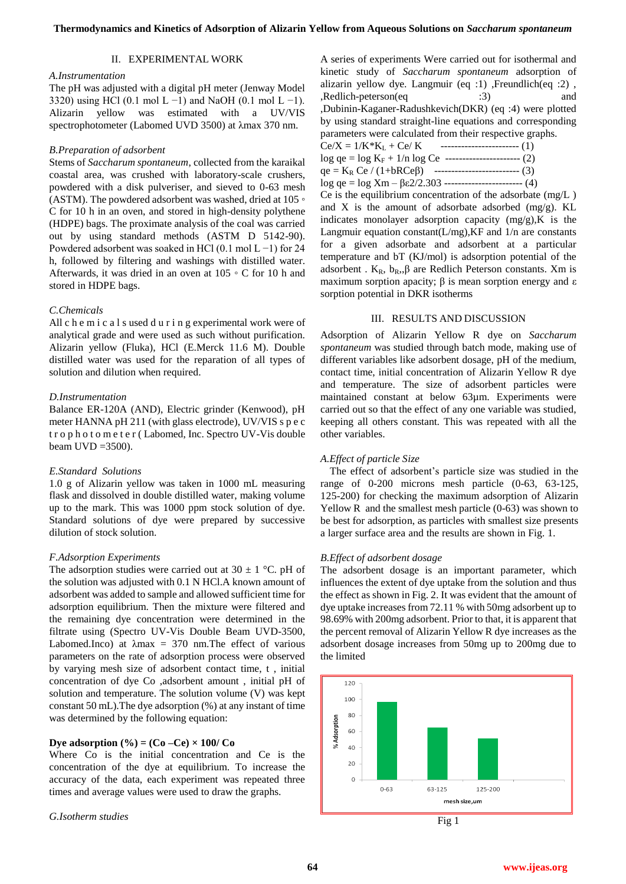#### II. EXPERIMENTAL WORK

### *A.Instrumentation*

The pH was adjusted with a digital pH meter (Jenway Model 3320) using HCl (0.1 mol L −1) and NaOH (0.1 mol L −1). Alizarin yellow was estimated with a UV/VIS spectrophotometer (Labomed UVD 3500) at λmax 370 nm.

## *B.Preparation of adsorbent*

Stems of *Saccharum spontaneum*, collected from the karaikal coastal area, was crushed with laboratory-scale crushers, powdered with a disk pulveriser, and sieved to 0-63 mesh (ASTM). The powdered adsorbent was washed, dried at 105 ◦ C for 10 h in an oven, and stored in high-density polythene (HDPE) bags. The proximate analysis of the coal was carried out by using standard methods (ASTM D 5142-90). Powdered adsorbent was soaked in HCl (0.1 mol L −1) for 24 h, followed by filtering and washings with distilled water. Afterwards, it was dried in an oven at 105 ◦ C for 10 h and stored in HDPE bags.

#### *C.Chemicals*

All c h e m i c a l s used d u r i n g experimental work were of analytical grade and were used as such without purification. Alizarin yellow (Fluka), HCl (E.Merck 11.6 M). Double distilled water was used for the reparation of all types of solution and dilution when required.

#### *D.Instrumentation*

Balance ER-120A (AND), Electric grinder (Kenwood), pH meter HANNA pH 211 (with glass electrode), UV/VIS s p e c t r o p h o t o m e t e r ( Labomed, Inc. Spectro UV-Vis double beam  $UVD = 3500$ ).

#### *E.Standard Solutions*

1.0 g of Alizarin yellow was taken in 1000 mL measuring flask and dissolved in double distilled water, making volume up to the mark. This was 1000 ppm stock solution of dye. Standard solutions of dye were prepared by successive dilution of stock solution.

#### *F.Adsorption Experiments*

The adsorption studies were carried out at  $30 \pm 1$  °C. pH of the solution was adjusted with 0.1 N HCl.A known amount of adsorbent was added to sample and allowed sufficient time for adsorption equilibrium. Then the mixture were filtered and the remaining dye concentration were determined in the filtrate using (Spectro UV-Vis Double Beam UVD-3500, Labomed.Inco) at  $\lambda$ max = 370 nm.The effect of various parameters on the rate of adsorption process were observed by varying mesh size of adsorbent contact time, t , initial concentration of dye Co ,adsorbent amount , initial pH of solution and temperature. The solution volume (V) was kept constant 50 mL).The dye adsorption (%) at any instant of time was determined by the following equation:

## **Dye adsorption**  $(\% ) = (Co - Ce) \times 100/Co$

Where Co is the initial concentration and Ce is the concentration of the dye at equilibrium. To increase the accuracy of the data, each experiment was repeated three times and average values were used to draw the graphs.

*G.Isotherm studies*

A series of experiments Were carried out for isothermal and kinetic study of *Saccharum spontaneum* adsorption of alizarin yellow dye. Langmuir (eq :1) ,Freundlich(eq :2) , ,Redlich-peterson(eq :3) and ,Dubinin-Kaganer-Radushkevich(DKR) (eq :4) were plotted by using standard straight-line equations and corresponding parameters were calculated from their respective graphs.  $Ce/X = 1/K*K_L + Ce/K$  --------------------------- (1)  $log qe = log K<sub>F</sub> + 1/n log Ce$  ------------------------ (2) qe =  $K_R$  Ce / (1+bRCe $\beta$ ) ---------------------------- (3) log qe = log Xm – βε2/2.303 ---------------------------- (4) Ce is the equilibrium concentration of the adsorbate (mg/L ) and X is the amount of adsorbate adsorbed  $(mg/g)$ . KL indicates monolayer adsorption capacity (mg/g),K is the

Langmuir equation constant( $L/mg$ ), KF and  $1/n$  are constants for a given adsorbate and adsorbent at a particular temperature and bT (KJ/mol) is adsorption potential of the adsorbent .  $K_R$ ,  $b_R$ ,  $\beta$  are Redlich Peterson constants. Xm is maximum sorption apacity;  $β$  is mean sorption energy and  $ε$ sorption potential in DKR isotherms

#### III. RESULTS AND DISCUSSION

Adsorption of Alizarin Yellow R dye on *Saccharum spontaneum* was studied through batch mode, making use of different variables like adsorbent dosage, pH of the medium, contact time, initial concentration of Alizarin Yellow R dye and temperature. The size of adsorbent particles were maintained constant at below 63µm. Experiments were carried out so that the effect of any one variable was studied, keeping all others constant. This was repeated with all the other variables.

## *A.Effect of particle Size*

The effect of adsorbent's particle size was studied in the range of 0-200 microns mesh particle (0-63, 63-125, 125-200) for checking the maximum adsorption of Alizarin Yellow R and the smallest mesh particle (0-63) was shown to be best for adsorption, as particles with smallest size presents a larger surface area and the results are shown in Fig. 1.

## *B.Effect of adsorbent dosage*

The adsorbent dosage is an important parameter, which influences the extent of dye uptake from the solution and thus the effect as shown in Fig. 2. It was evident that the amount of dye uptake increases from 72.11 % with 50mg adsorbent up to 98.69% with 200mg adsorbent. Prior to that, it is apparent that the percent removal of Alizarin Yellow R dye increases as the adsorbent dosage increases from 50mg up to 200mg due to the limited



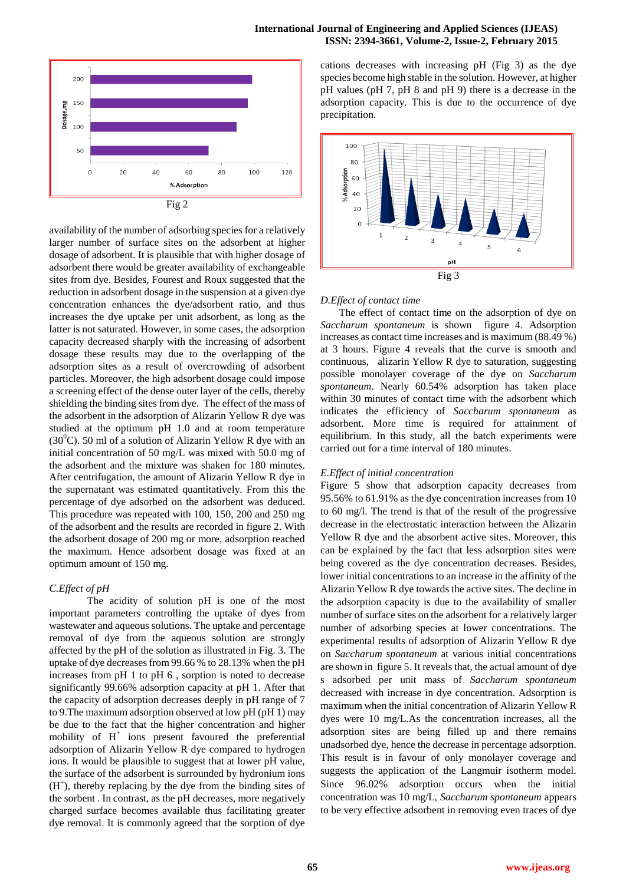## **International Journal of Engineering and Applied Sciences (IJEAS) ISSN: 2394-3661, Volume-2, Issue-2, February 2015**



availability of the number of adsorbing species for a relatively larger number of surface sites on the adsorbent at higher dosage of adsorbent. It is plausible that with higher dosage of adsorbent there would be greater availability of exchangeable sites from dye. Besides, Fourest and Roux suggested that the reduction in adsorbent dosage in the suspension at a given dye concentration enhances the dye/adsorbent ratio, and thus increases the dye uptake per unit adsorbent, as long as the latter is not saturated. However, in some cases, the adsorption capacity decreased sharply with the increasing of adsorbent dosage these results may due to the overlapping of the adsorption sites as a result of overcrowding of adsorbent particles. Moreover, the high adsorbent dosage could impose a screening effect of the dense outer layer of the cells, thereby shielding the binding sites from dye.The effect of the mass of the adsorbent in the adsorption of Alizarin Yellow R dye was studied at the optimum pH 1.0 and at room temperature  $(30^0C)$ . 50 ml of a solution of Alizarin Yellow R dye with an initial concentration of 50 mg/L was mixed with 50.0 mg of the adsorbent and the mixture was shaken for 180 minutes. After centrifugation, the amount of Alizarin Yellow R dye in the supernatant was estimated quantitatively. From this the percentage of dye adsorbed on the adsorbent was deduced. This procedure was repeated with 100, 150, 200 and 250 mg of the adsorbent and the results are recorded in figure 2. With the adsorbent dosage of 200 mg or more, adsorption reached the maximum. Hence adsorbent dosage was fixed at an optimum amount of 150 mg.

## *C.Effect of pH*

The acidity of solution pH is one of the most important parameters controlling the uptake of dyes from wastewater and aqueous solutions. The uptake and percentage removal of dye from the aqueous solution are strongly affected by the pH of the solution as illustrated in Fig. 3. The uptake of dye decreases from 99.66 % to 28.13% when the pH increases from pH 1 to pH 6 , sorption is noted to decrease significantly 99.66% adsorption capacity at pH 1. After that the capacity of adsorption decreases deeply in pH range of 7 to 9.The maximum adsorption observed at low pH (pH 1) may be due to the fact that the higher concentration and higher mobility of  $H^+$  ions present favoured the preferential adsorption of Alizarin Yellow R dye compared to hydrogen ions. It would be plausible to suggest that at lower pH value, the surface of the adsorbent is surrounded by hydronium ions  $(H<sup>+</sup>)$ , thereby replacing by the dye from the binding sites of the sorbent . In contrast, as the pH decreases, more negatively charged surface becomes available thus facilitating greater dye removal. It is commonly agreed that the sorption of dye

cations decreases with increasing pH (Fig 3) as the dye species become high stable in the solution. However, at higher pH values (pH 7, pH 8 and pH 9) there is a decrease in the adsorption capacity. This is due to the occurrence of dye precipitation.



# *D.Effect of contact time*

 The effect of contact time on the adsorption of dye on *Saccharum spontaneum* is shown figure 4. Adsorption increases as contact time increases and is maximum (88.49 %) at 3 hours. Figure 4 reveals that the curve is smooth and continuous, alizarin Yellow R dye to saturation, suggesting possible monolayer coverage of the dye on *Saccharum spontaneum*. Nearly 60.54% adsorption has taken place within 30 minutes of contact time with the adsorbent which indicates the efficiency of *Saccharum spontaneum* as adsorbent. More time is required for attainment of equilibrium. In this study, all the batch experiments were carried out for a time interval of 180 minutes.

# *E.Effect of initial concentration*

Figure 5 show that adsorption capacity decreases from 95.56% to 61.91% as the dye concentration increases from 10 to 60 mg/l. The trend is that of the result of the progressive decrease in the electrostatic interaction between the Alizarin Yellow R dye and the absorbent active sites. Moreover, this can be explained by the fact that less adsorption sites were being covered as the dye concentration decreases. Besides, lower initial concentrations to an increase in the affinity of the Alizarin Yellow R dye towards the active sites. The decline in the adsorption capacity is due to the availability of smaller number of surface sites on the adsorbent for a relatively larger number of adsorbing species at lower concentrations. The experimental results of adsorption of Alizarin Yellow R dye on *Saccharum spontaneum* at various initial concentrations are shown in figure 5. It reveals that, the actual amount of dye s adsorbed per unit mass of *Saccharum spontaneum*  decreased with increase in dye concentration. Adsorption is maximum when the initial concentration of Alizarin Yellow R dyes were 10 mg/L.As the concentration increases, all the adsorption sites are being filled up and there remains unadsorbed dye, hence the decrease in percentage adsorption. This result is in favour of only monolayer coverage and suggests the application of the Langmuir isotherm model. Since 96.02% adsorption occurs when the initial concentration was 10 mg/L, *Saccharum spontaneum* appears to be very effective adsorbent in removing even traces of dye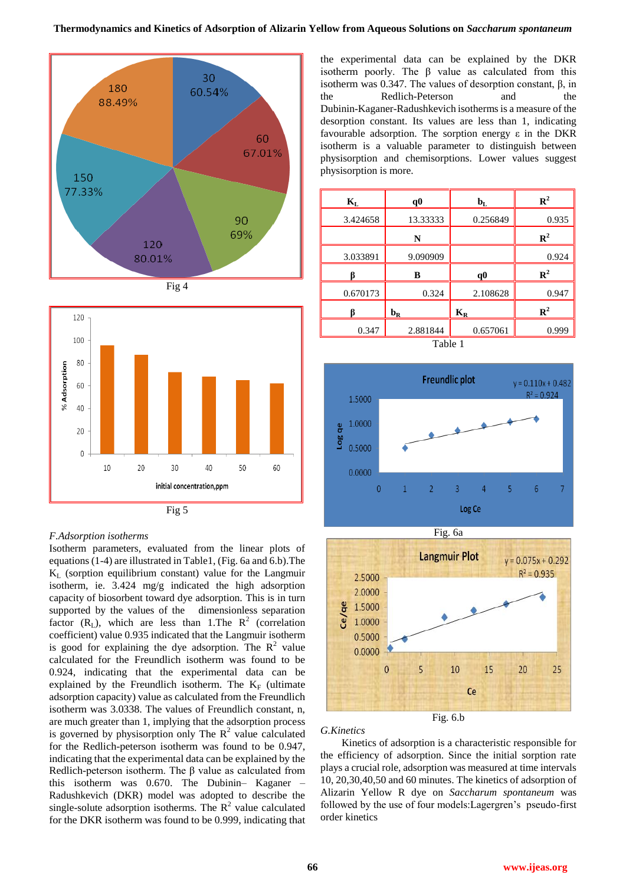





#### *F.Adsorption isotherms*

Isotherm parameters, evaluated from the linear plots of equations (1-4) are illustrated in Table1, (Fig. 6a and 6.b).The  $K<sub>L</sub>$  (sorption equilibrium constant) value for the Langmuir isotherm, ie. 3.424 mg/g indicated the high adsorption capacity of biosorbent toward dye adsorption. This is in turn supported by the values of the dimensionless separation factor  $(R_L)$ , which are less than 1. The  $R^2$  (correlation coefficient) value 0.935 indicated that the Langmuir isotherm is good for explaining the dye adsorption. The  $R^2$  value calculated for the Freundlich isotherm was found to be 0.924, indicating that the experimental data can be explained by the Freundlich isotherm. The  $K_F$  (ultimate adsorption capacity) value as calculated from the Freundlich isotherm was 3.0338. The values of Freundlich constant, n, are much greater than 1, implying that the adsorption process is governed by physisorption only The  $R^2$  value calculated for the Redlich-peterson isotherm was found to be 0.947, indicating that the experimental data can be explained by the Redlich-peterson isotherm. The β value as calculated from this isotherm was 0.670. The Dubinin– Kaganer – Radushkevich (DKR) model was adopted to describe the single-solute adsorption isotherms. The  $\mathbb{R}^2$  value calculated for the DKR isotherm was found to be 0.999, indicating that

the experimental data can be explained by the DKR isotherm poorly. The β value as calculated from this isotherm was 0.347. The values of desorption constant, β, in the Redlich-Peterson and the Dubinin-Kaganer-Radushkevich isotherms is a measure of the desorption constant. Its values are less than 1, indicating favourable adsorption. The sorption energy  $\varepsilon$  in the DKR isotherm is a valuable parameter to distinguish between physisorption and chemisorptions. Lower values suggest physisorption is more.

|     | $\mathbf{K}_\text{L}$ | q0                        | $\mathbf{b}_{\mathbf{L}}$ | ${\bf R}^2$    |
|-----|-----------------------|---------------------------|---------------------------|----------------|
| 90  | 3.424658              | 13.33333                  | 0.256849                  | 0.935          |
| 69% |                       | N                         |                           | $\mathbb{R}^2$ |
|     | 3.033891              | 9.090909                  |                           | 0.924          |
|     |                       | B                         | q0                        | ${\bf R}^2$    |
|     | 0.670173              | 0.324                     | 2.108628                  | 0.947          |
|     |                       | $\mathbf{b}_{\mathbf{R}}$ | $K_R$                     | $\mathbb{R}^2$ |
|     | 0.347                 | 2.881844                  | 0.657061                  | 0.999          |







# *G.Kinetics*

 Kinetics of adsorption is a characteristic responsible for the efficiency of adsorption. Since the initial sorption rate plays a crucial role, adsorption was measured at time intervals 10, 20,30,40,50 and 60 minutes. The kinetics of adsorption of Alizarin Yellow R dye on *Saccharum spontaneum* was followed by the use of four models:Lagergren's pseudo-first order kinetics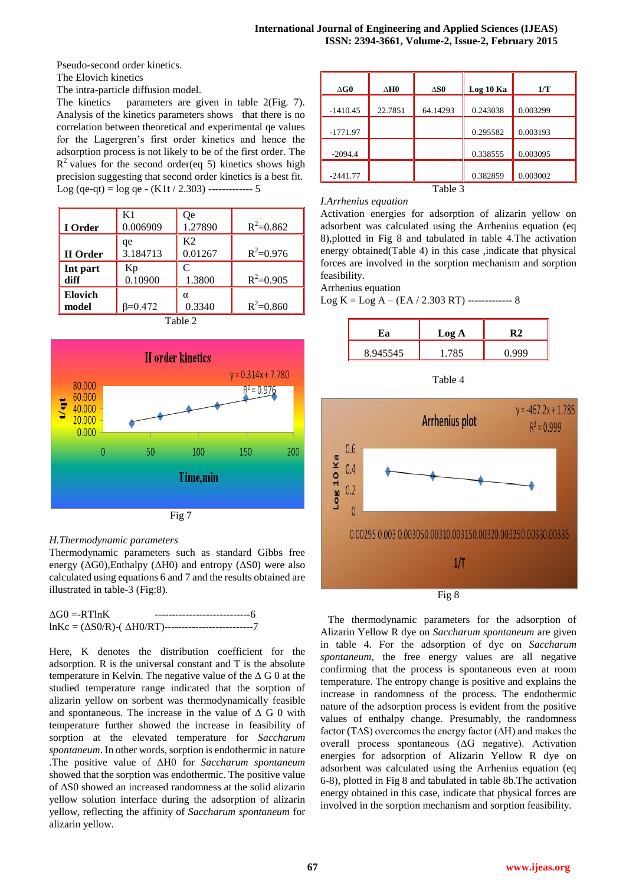Pseudo-second order kinetics.

The Elovich kinetics

The intra-particle diffusion model.

The kinetics parameters are given in table 2(Fig. 7). Analysis of the kinetics parameters shows that there is no correlation between theoretical and experimental qe values for the Lagergren's first order kinetics and hence the adsorption process is not likely to be of the first order. The  $R<sup>2</sup>$  values for the second order(eq 5) kinetics shows high precision suggesting that second order kinetics is a best fit. Log (qe-qt) =  $\log$  qe - (K1t / 2.303) ------------- 5

| I Order                 | K1<br>0.006909  | Oе<br>1.27890             | $R^2 = 0.862$ |
|-------------------------|-----------------|---------------------------|---------------|
| II Order                | qe<br>3.184713  | K <sub>2</sub><br>0.01267 | $R^2 = 0.976$ |
| Int part<br>diff        | Kp<br>0.10900   | 1.3800                    | $R^2 = 0.905$ |
| <b>Elovich</b><br>model | $\beta = 0.472$ | α<br>0.3340               | $R^2 = 0.860$ |







# *H.Thermodynamic parameters*

Thermodynamic parameters such as standard Gibbs free energy ( $\Delta$ G0),Enthalpy ( $\Delta$ H0) and entropy ( $\Delta$ S0) were also calculated using equations 6 and 7 and the results obtained are illustrated in table-3 (Fig:8).

| $\Delta G0 = RT \ln K$ | ------------------------------6                                        |
|------------------------|------------------------------------------------------------------------|
|                        | $ln Kc = (\Delta S0/R)$ -( $\Delta H0/RT$ )--------------------------7 |

Here, K denotes the distribution coefficient for the adsorption. R is the universal constant and T is the absolute temperature in Kelvin. The negative value of the  $\Delta G$  0 at the studied temperature range indicated that the sorption of alizarin yellow on sorbent was thermodynamically feasible and spontaneous. The increase in the value of  $\Delta$  G 0 with temperature further showed the increase in feasibility of sorption at the elevated temperature for *Saccharum spontaneum*. In other words, sorption is endothermic in nature .The positive value of ΔH0 for *Saccharum spontaneum* showed that the sorption was endothermic. The positive value of ΔS0 showed an increased randomness at the solid alizarin yellow solution interface during the adsorption of alizarin yellow, reflecting the affinity of *Saccharum spontaneum* for alizarin yellow.

| $\Delta G0$ | ∆Н0     | $\Delta$ SO | Log 10 Ka | 1/T      |
|-------------|---------|-------------|-----------|----------|
| $-1410.45$  | 22.7851 | 64.14293    | 0.243038  | 0.003299 |
| $-1771.97$  |         |             | 0.295582  | 0.003193 |
| $-2094.4$   |         |             | 0.338555  | 0.003095 |
| $-2441.77$  |         |             | 0.382859  | 0.003002 |
|             |         | Table 3     |           |          |

## *I.Arrhenius equation*

Activation energies for adsorption of alizarin yellow on adsorbent was calculated using the Arrhenius equation (eq 8),plotted in Fig 8 and tabulated in table 4.The activation energy obtained(Table 4) in this case ,indicate that physical forces are involved in the sorption mechanism and sorption feasibility.

Arrhenius equation

 $Log K = Log A - (EA / 2.303 RT)$  --------------- 8

| Ľа       | Log A |       |
|----------|-------|-------|
| 8.945545 |       | ).999 |







The thermodynamic parameters for the adsorption of Alizarin Yellow R dye on *Saccharum spontaneum* are given in table 4. For the adsorption of dye on *Saccharum spontaneum*, the free energy values are all negative confirming that the process is spontaneous even at room temperature. The entropy change is positive and explains the increase in randomness of the process. The endothermic nature of the adsorption process is evident from the positive values of enthalpy change. Presumably, the randomness factor (T∆S) overcomes the energy factor (∆H) and makes the overall process spontaneous (∆G negative). Activation energies for adsorption of Alizarin Yellow R dye on adsorbent was calculated using the Arrhenius equation (eq 6-8), plotted in Fig 8 and tabulated in table 8b.The activation energy obtained in this case, indicate that physical forces are involved in the sorption mechanism and sorption feasibility.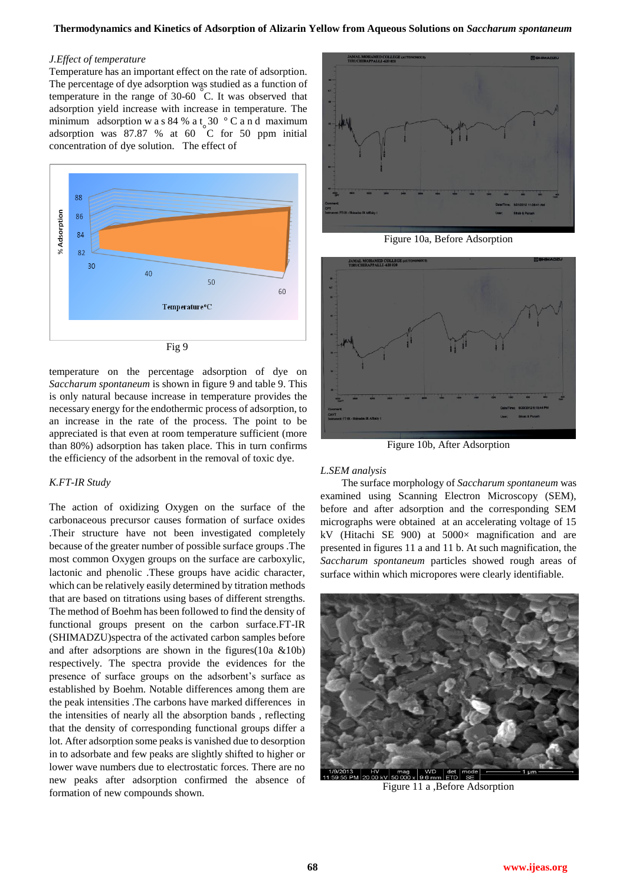#### *J.Effect of temperature*

Temperature has an important effect on the rate of adsorption. The percentage of dye adsorption was studied as a function of temperature in the range of 30-60 °C. It was observed that adsorption yield increase with increase in temperature. The minimum adsorption w a s 84 % a t  $30$  ° C a n d maximum adsorption was 87.87 % at 60 °C for 50 ppm initial concentration of dye solution. The effect of



temperature on the percentage adsorption of dye on *Saccharum spontaneum* is shown in figure 9 and table 9. This is only natural because increase in temperature provides the necessary energy for the endothermic process of adsorption, to an increase in the rate of the process. The point to be appreciated is that even at room temperature sufficient (more than 80%) adsorption has taken place. This in turn confirms the efficiency of the adsorbent in the removal of toxic dye.

#### *K.FT-IR Study*

The action of oxidizing Oxygen on the surface of the carbonaceous precursor causes formation of surface oxides .Their structure have not been investigated completely because of the greater number of possible surface groups .The most common Oxygen groups on the surface are carboxylic, lactonic and phenolic .These groups have acidic character, which can be relatively easily determined by titration methods that are based on titrations using bases of different strengths. The method of Boehm has been followed to find the density of functional groups present on the carbon surface.FT-IR (SHIMADZU)spectra of the activated carbon samples before and after adsorptions are shown in the figures(10a &10b) respectively. The spectra provide the evidences for the presence of surface groups on the adsorbent's surface as established by Boehm. Notable differences among them are the peak intensities .The carbons have marked differences in the intensities of nearly all the absorption bands , reflecting that the density of corresponding functional groups differ a lot. After adsorption some peaks is vanished due to desorption in to adsorbate and few peaks are slightly shifted to higher or lower wave numbers due to electrostatic forces. There are no new peaks after adsorption confirmed the absence of formation of new compounds shown.



Figure 10a, Before Adsorption



Figure 10b, After Adsorption

#### *L.SEM analysis*

 The surface morphology of *Saccharum spontaneum* was examined using Scanning Electron Microscopy (SEM), before and after adsorption and the corresponding SEM micrographs were obtained at an accelerating voltage of 15 kV (Hitachi SE 900) at 5000× magnification and are presented in figures 11 a and 11 b. At such magnification, the *Saccharum spontaneum* particles showed rough areas of surface within which micropores were clearly identifiable.



Figure 11 a ,Before Adsorption